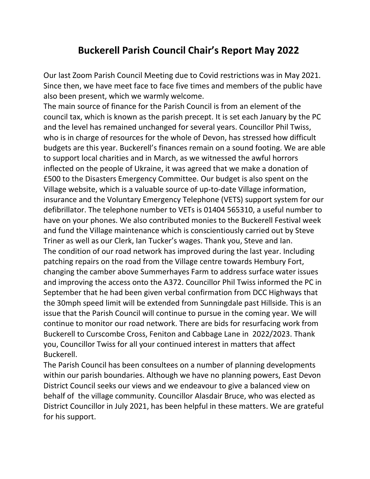## **Buckerell Parish Council Chair's Report May 2022**

Our last Zoom Parish Council Meeting due to Covid restrictions was in May 2021. Since then, we have meet face to face five times and members of the public have also been present, which we warmly welcome.

The main source of finance for the Parish Council is from an element of the council tax, which is known as the parish precept. It is set each January by the PC and the level has remained unchanged for several years. Councillor Phil Twiss, who is in charge of resources for the whole of Devon, has stressed how difficult budgets are this year. Buckerell's finances remain on a sound footing. We are able to support local charities and in March, as we witnessed the awful horrors inflected on the people of Ukraine, it was agreed that we make a donation of £500 to the Disasters Emergency Committee. Our budget is also spent on the Village website, which is a valuable source of up-to-date Village information, insurance and the Voluntary Emergency Telephone (VETS) support system for our defibrillator. The telephone number to VETs is 01404 565310, a useful number to have on your phones. We also contributed monies to the Buckerell Festival week and fund the Village maintenance which is conscientiously carried out by Steve Triner as well as our Clerk, Ian Tucker's wages. Thank you, Steve and Ian. The condition of our road network has improved during the last year. Including patching repairs on the road from the Village centre towards Hembury Fort, changing the camber above Summerhayes Farm to address surface water issues and improving the access onto the A372. Councillor Phil Twiss informed the PC in September that he had been given verbal confirmation from DCC Highways that the 30mph speed limit will be extended from Sunningdale past Hillside. This is an issue that the Parish Council will continue to pursue in the coming year. We will continue to monitor our road network. There are bids for resurfacing work from Buckerell to Curscombe Cross, Feniton and Cabbage Lane in 2022/2023. Thank you, Councillor Twiss for all your continued interest in matters that affect Buckerell.

The Parish Council has been consultees on a number of planning developments within our parish boundaries. Although we have no planning powers, East Devon District Council seeks our views and we endeavour to give a balanced view on behalf of the village community. Councillor Alasdair Bruce, who was elected as District Councillor in July 2021, has been helpful in these matters. We are grateful for his support.